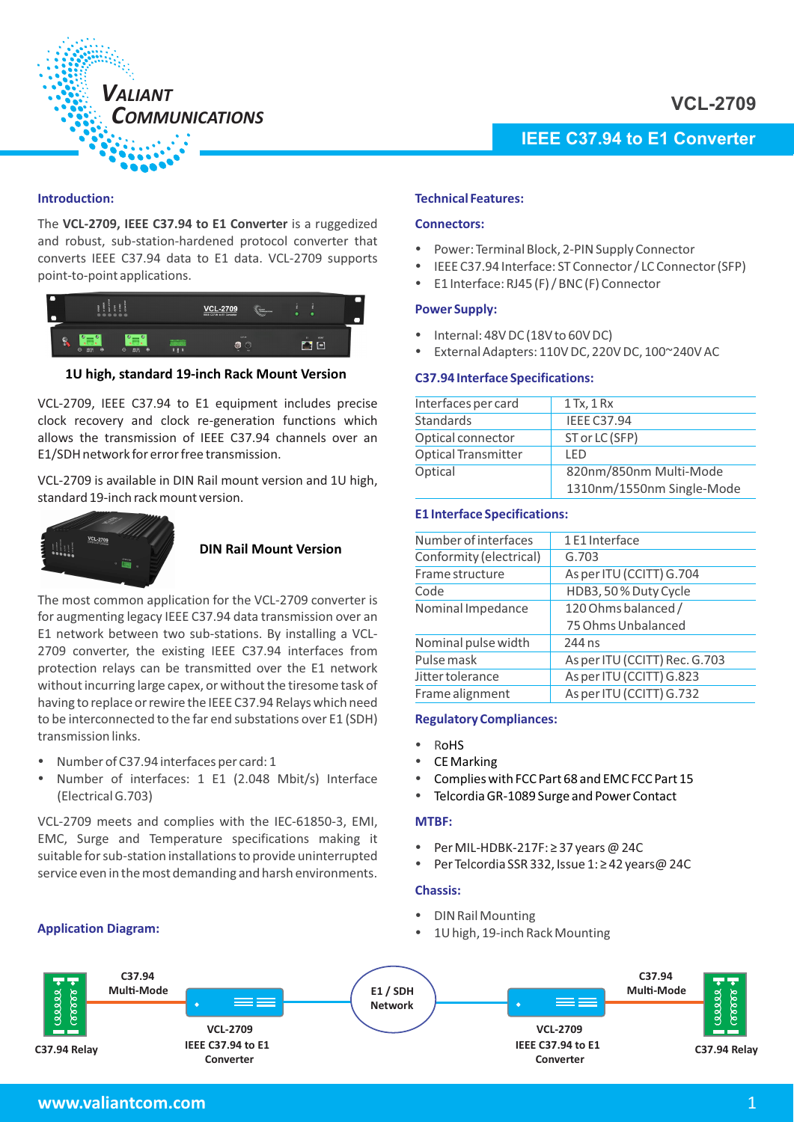

# **IEEE C37.94 to E1 Converter**

## **Introduction:**

The VCL-2709, IEEE C37.94 to E1 Converter is a ruggedized and robust, sub-station-hardened protocol converter that converts IEEE C37.94 data to E1 data. VCL-2709 supports point-to-point applications.



**1U high, standard 19-inch Rack Mount Version**

VCL-2709, IEEE C37.94 to E1 equipment includes precise clock recovery and clock re-generation functions which allows the transmission of IEEE C37.94 channels over an E1/SDH network for error free transmission.

VCL-2709 is available in DIN Rail mount version and 1U high, standard 19-inch rack mount version.



# **DIN Rail Mount Version**

The most common application for the VCL-2709 converter is for augmenting legacy IEEE C37.94 data transmission over an E1 network between two sub-stations. By installing a VCL-2709 converter, the existing IEEE C37.94 interfaces from protection relays can be transmitted over the E1 network without incurring large capex, or without the tiresome task of having to replace or rewire the IEEE C37.94 Relays which need to be interconnected to the far end substations over E1 (SDH) transmission links.

- Number of C37.94 interfaces per card: 1 -
- Number of interfaces: 1 E1 (2.048 Mbit/s) Interface (Electrical G.703)

VCL-2709 meets and complies with the IEC-61850-3, EMI, EMC, Surge and Temperature specifications making it suitable for sub-station installations to provide uninterrupted service even in the most demanding and harsh environments.

# **Application Diagram:**

## **Technical Features:**

## **Connectors:**

- Power: Terminal Block, 2-PIN Supply Connector -
- IEEE C37.94 Interface: ST Connector / LC Connector (SFP)
- E1 Interface: RJ45 (F) / BNC (F) Connector

## **Power Supply:**

- Internal: 48V DC (18V to 60V DC)
- External Adapters:  $110$ V DC, 220V DC,  $100^{\circ}$ 240V AC

# **C37.94 Interface Specifications:**

| Interfaces per card        | $1$ Tx, $1$ Rx            |
|----------------------------|---------------------------|
| <b>Standards</b>           | <b>IEEE C37.94</b>        |
| Optical connector          | ST or LC (SFP)            |
| <b>Optical Transmitter</b> | LFD                       |
| Optical                    | 820nm/850nm Multi-Mode    |
|                            | 1310nm/1550nm Single-Mode |

# **E1 Interface Specifications:**

| Number of interfaces    | 1E1 Interface                 |
|-------------------------|-------------------------------|
| Conformity (electrical) | G.703                         |
| Frame structure         | As per ITU (CCITT) G.704      |
| Code                    | HDB3, 50% Duty Cycle          |
| Nominal Impedance       | 120 Ohms balanced /           |
|                         | 75 Ohms Unbalanced            |
| Nominal pulse width     | 244 ns                        |
| Pulse mask              | As per ITU (CCITT) Rec. G.703 |
| Jitter tolerance        | As per ITU (CCITT) G.823      |
| Frame alignment         | As per ITU (CCITT) G.732      |
|                         |                               |

# **Regulatory Compliances:**

- RoHS -
- CE Marking -
- Complies with FCC Part 68 and EMC FCC Part 15 -
- Telcordia GR-1089 Surge and Power Contact

### **MTBF:**

- Per MIL-HDBK-217F: ≥ 37 years @ 24C -
- Per Telcordia SSR 332, Issue 1: ≥ 42 years@ 24C

## **Chassis:**

- DIN Rail Mounting
- 1U high, 19-inch Rack Mounting